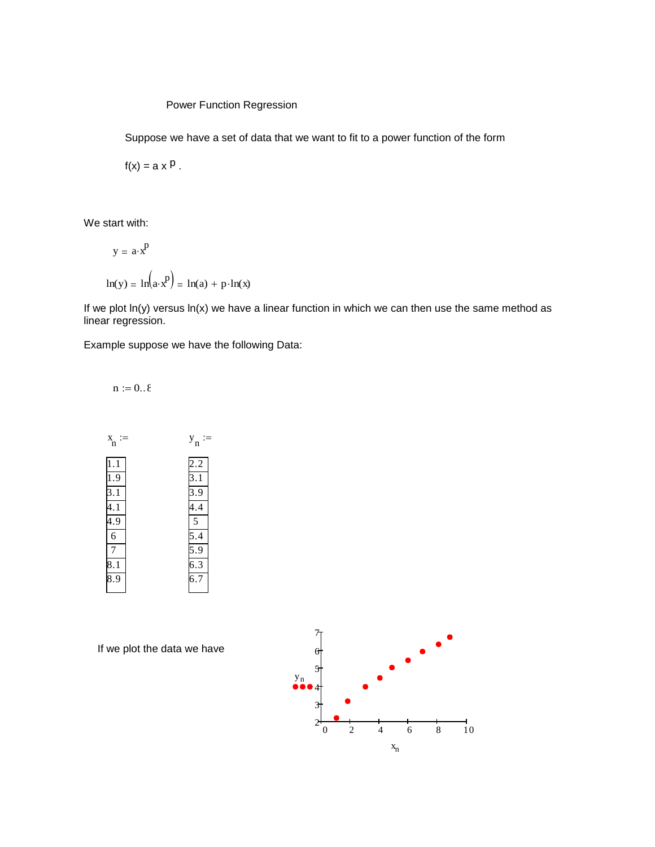## Power Function Regression

Suppose we have a set of data that we want to fit to a power function of the form

 $f(x) = a \times P$ .

We start with:

$$
y = a \cdot x^{P}
$$
  

$$
\ln(y) = \ln(a \cdot x^{P}) = \ln(a) + p \cdot \ln(x)
$$

If we plot  $ln(y)$  versus  $ln(x)$  we have a linear function in which we can then use the same method as linear regression.

Example suppose we have the following Data:

 $n := 0..\, \delta$ 



If we plot the data we have

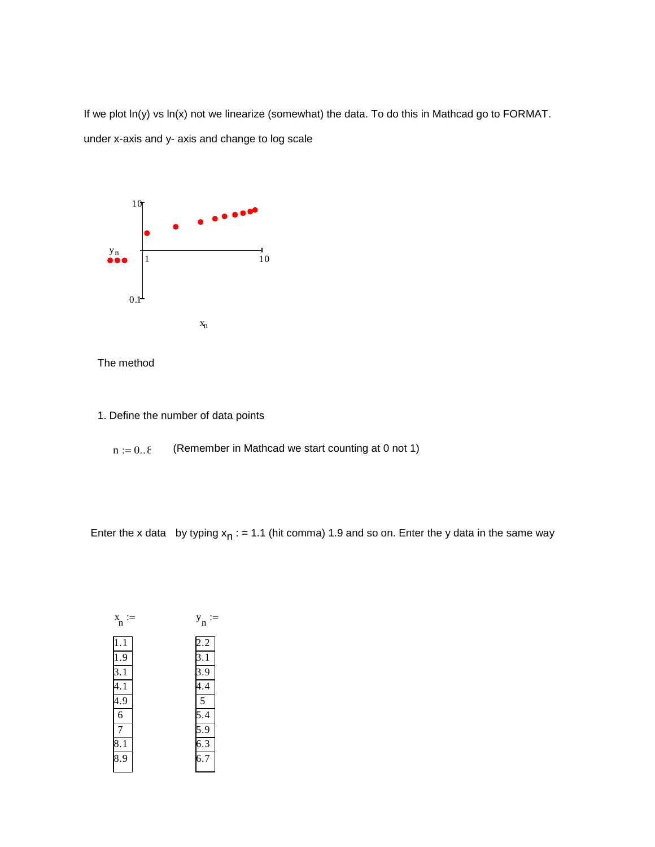If we plot ln(y) vs ln(x) not we linearize (somewhat) the data. To do this in Mathcad go to FORMAT. under x-axis and y- axis and change to log scale





- 1. Define the number of data points
	- $n := 0..\, \delta$ (Remember in Mathcad we start counting at 0 not 1)

Enter the x data by typing  $x_{n}$  : = 1.1 (hit comma) 1.9 and so on. Enter the y data in the same way

| X<br>'n        | ${\bf y}_{\bf n}$ |
|----------------|-------------------|
| $\cdot$ 1      | 2.2               |
| 1.9            | $\overline{3.1}$  |
| 3.1            | 3.9               |
| 4.1            | 4.4               |
| $^{4.9}$       | 5                 |
| $\overline{6}$ | 5.4               |
| 7              |                   |
| $\vert 8.1$    | $\frac{5.9}{6.3}$ |
| 8.9            | $\overline{6}.7$  |
|                |                   |